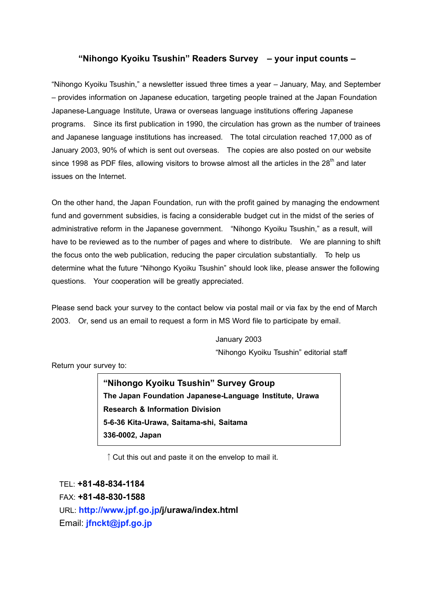#### **"Nihongo Kyoiku Tsushin" Readers Survey – your input counts –**

"Nihongo Kyoiku Tsushin," a newsletter issued three times a year – January, May, and September – provides information on Japanese education, targeting people trained at the Japan Foundation Japanese-Language Institute, Urawa or overseas language institutions offering Japanese programs. Since its first publication in 1990, the circulation has grown as the number of trainees and Japanese language institutions has increased. The total circulation reached 17,000 as of January 2003, 90% of which is sent out overseas. The copies are also posted on our website since 1998 as PDF files, allowing visitors to browse almost all the articles in the 28<sup>th</sup> and later issues on the Internet.

On the other hand, the Japan Foundation, run with the profit gained by managing the endowment fund and government subsidies, is facing a considerable budget cut in the midst of the series of administrative reform in the Japanese government. "Nihongo Kyoiku Tsushin," as a result, will have to be reviewed as to the number of pages and where to distribute. We are planning to shift the focus onto the web publication, reducing the paper circulation substantially. To help us determine what the future "Nihongo Kyoiku Tsushin" should look like, please answer the following questions. Your cooperation will be greatly appreciated.

Please send back your survey to the contact below via postal mail or via fax by the end of March 2003. Or, send us an email to request a form in MS Word file to participate by email.

> January 2003 "Nihongo Kyoiku Tsushin" editorial staff

Return your survey to:

**"Nihongo Kyoiku Tsushin" Survey Group The Japan Foundation Japanese-Language Institute, Urawa Research & Information Division 5-6-36 Kita-Urawa, Saitama-shi, Saitama 336-0002, Japan**

↑Cut this out and paste it on the envelop to mail it.

TEL: **+81-48-834-1184** FAX: **+81-48-830-1588** URL: **http://www.jpf.go.jp/j/urawa/index.html** Email: **jfnckt@jpf.go.jp**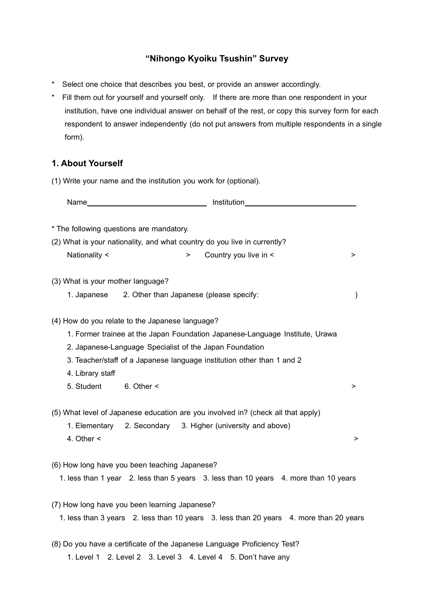# **"Nihongo Kyoiku Tsushin" Survey**

- \* Select one choice that describes you best, or provide an answer accordingly.
- \* Fill them out for yourself and yourself only. If there are more than one respondent in your institution, have one individual answer on behalf of the rest, or copy this survey form for each respondent to answer independently (do not put answers from multiple respondents in a single form).

## **1. About Yourself**

(1) Write your name and the institution you work for (optional).

|                                   |                                                         | Name hast and the set of the set of the set of the set of the set of the set of the set of the set of the set of the set of the set of the set of the set of the set of the set of the set of the set of the set of the set of |           |
|-----------------------------------|---------------------------------------------------------|--------------------------------------------------------------------------------------------------------------------------------------------------------------------------------------------------------------------------------|-----------|
|                                   | * The following questions are mandatory.                |                                                                                                                                                                                                                                |           |
|                                   |                                                         | (2) What is your nationality, and what country do you live in currently?                                                                                                                                                       |           |
| Nationality <                     |                                                         | Country you live in <                                                                                                                                                                                                          | >         |
| (3) What is your mother language? |                                                         |                                                                                                                                                                                                                                |           |
| 1. Japanese                       | 2. Other than Japanese (please specify:                 |                                                                                                                                                                                                                                | $\lambda$ |
|                                   | (4) How do you relate to the Japanese language?         |                                                                                                                                                                                                                                |           |
|                                   |                                                         | 1. Former trainee at the Japan Foundation Japanese-Language Institute, Urawa                                                                                                                                                   |           |
|                                   | 2. Japanese-Language Specialist of the Japan Foundation |                                                                                                                                                                                                                                |           |
|                                   |                                                         | 3. Teacher/staff of a Japanese language institution other than 1 and 2                                                                                                                                                         |           |
| 4. Library staff                  |                                                         |                                                                                                                                                                                                                                |           |
| 5. Student                        | 6. Other $\leq$                                         |                                                                                                                                                                                                                                | >         |
|                                   |                                                         | (5) What level of Japanese education are you involved in? (check all that apply)                                                                                                                                               |           |
|                                   |                                                         | 1. Elementary 2. Secondary 3. Higher (university and above)                                                                                                                                                                    |           |
| 4. Other $\leq$                   |                                                         |                                                                                                                                                                                                                                | >         |
|                                   | (6) How long have you been teaching Japanese?           |                                                                                                                                                                                                                                |           |
|                                   |                                                         | 1. less than 1 year 2. less than 5 years 3. less than 10 years 4. more than 10 years                                                                                                                                           |           |
|                                   | (7) How long have you been learning Japanese?           |                                                                                                                                                                                                                                |           |
|                                   |                                                         | 1. less than 3 years 2. less than 10 years 3. less than 20 years 4. more than 20 years                                                                                                                                         |           |
|                                   |                                                         | (8) Do you have a certificate of the Japanese Language Proficiency Test?                                                                                                                                                       |           |
|                                   |                                                         | 1. Level 1 2. Level 2 3. Level 3 4. Level 4 5. Don't have any                                                                                                                                                                  |           |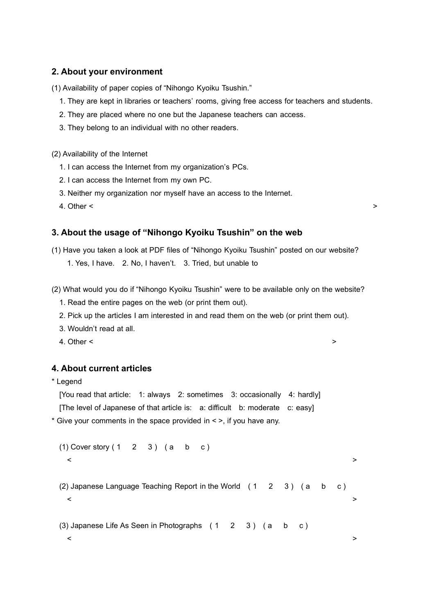### **2. About your environment**

(1) Availability of paper copies of "Nihongo Kyoiku Tsushin."

- 1. They are kept in libraries or teachers' rooms, giving free access for teachers and students.
- 2. They are placed where no one but the Japanese teachers can access.
- 3. They belong to an individual with no other readers.

(2) Availability of the Internet

- 1. I can access the Internet from my organization's PCs.
- 2. I can access the Internet from my own PC.
- 3. Neither my organization nor myself have an access to the Internet.

4. Other  $\leq$   $\geq$ 

### **3. About the usage of "Nihongo Kyoiku Tsushin" on the web**

- (1) Have you taken a look at PDF files of "Nihongo Kyoiku Tsushin" posted on our website? 1. Yes, I have. 2. No, I haven't. 3. Tried, but unable to
- (2) What would you do if "Nihongo Kyoiku Tsushin" were to be available only on the website?
	- 1. Read the entire pages on the web (or print them out).
	- 2. Pick up the articles I am interested in and read them on the web (or print them out).
	- 3. Wouldn't read at all.
	- 4. Other <  $\sim$

#### **4. About current articles**

\* Legend

[You read that article: 1: always 2: sometimes 3: occasionally 4: hardly]

[The level of Japanese of that article is: a: difficult b: moderate c: easy]

\* Give your comments in the space provided in < >, if you have any.

```
(1) Cover story (1 \ 2 \ 3) (a \ b \ c)< >
(2) Japanese Language Teaching Report in the World (1 \ 2 \ 3) (a \ b \ c)< >
```
< >

(3) Japanese Life As Seen in Photographs ( 1 2 3 ) ( a b c )